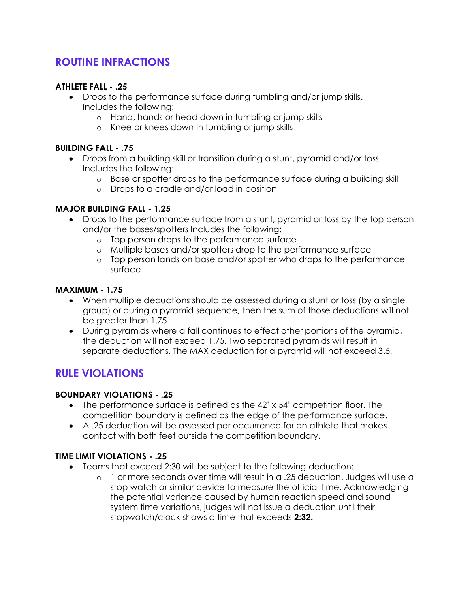# **ROUTINE INFRACTIONS**

### **ATHLETE FALL - .25**

- Drops to the performance surface during tumbling and/or jump skills. Includes the following:
	- o Hand, hands or head down in tumbling or jump skills
	- o Knee or knees down in tumbling or jump skills

### **BUILDING FALL - .75**

- Drops from a building skill or transition during a stunt, pyramid and/or toss Includes the following:
	- o Base or spotter drops to the performance surface during a building skill
	- o Drops to a cradle and/or load in position

### **MAJOR BUILDING FALL - 1.25**

- Drops to the performance surface from a stunt, pyramid or toss by the top person and/or the bases/spotters Includes the following:
	- o Top person drops to the performance surface
	- o Multiple bases and/or spotters drop to the performance surface
	- o Top person lands on base and/or spotter who drops to the performance surface

#### **MAXIMUM - 1.75**

- When multiple deductions should be assessed during a stunt or toss (by a single group) or during a pyramid sequence, then the sum of those deductions will not be greater than 1.75
- During pyramids where a fall continues to effect other portions of the pyramid, the deduction will not exceed 1.75. Two separated pyramids will result in separate deductions. The MAX deduction for a pyramid will not exceed 3.5.

## **RULE VIOLATIONS**

### **BOUNDARY VIOLATIONS - .25**

- The performance surface is defined as the 42' x 54' competition floor. The competition boundary is defined as the edge of the performance surface.
- A .25 deduction will be assessed per occurrence for an athlete that makes contact with both feet outside the competition boundary.

### **TIME LIMIT VIOLATIONS - .25**

- Teams that exceed 2:30 will be subject to the following deduction:
	- o 1 or more seconds over time will result in a .25 deduction. Judges will use a stop watch or similar device to measure the official time. Acknowledging the potential variance caused by human reaction speed and sound system time variations, judges will not issue a deduction until their stopwatch/clock shows a time that exceeds **2:32.**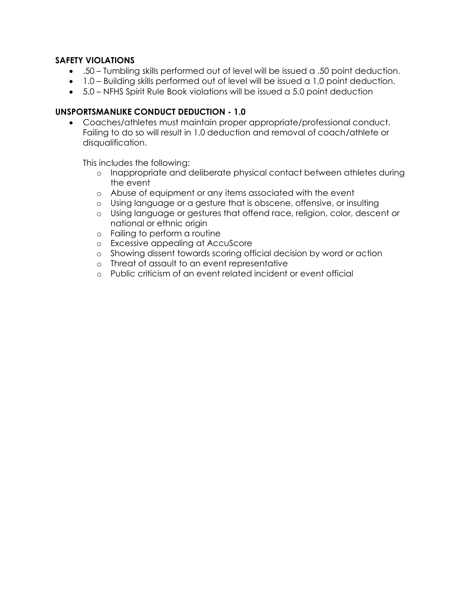### **SAFETY VIOLATIONS**

- .50 Tumbling skills performed out of level will be issued a .50 point deduction.
- 1.0 Building skills performed out of level will be issued a 1.0 point deduction.
- 5.0 NFHS Spirit Rule Book violations will be issued a 5.0 point deduction

### **UNSPORTSMANLIKE CONDUCT DEDUCTION - 1.0**

• Coaches/athletes must maintain proper appropriate/professional conduct. Failing to do so will result in 1.0 deduction and removal of coach/athlete or disqualification.

This includes the following:

- o Inappropriate and deliberate physical contact between athletes during the event
- o Abuse of equipment or any items associated with the event
- o Using language or a gesture that is obscene, offensive, or insulting
- o Using language or gestures that offend race, religion, color, descent or national or ethnic origin
- o Failing to perform a routine
- o Excessive appealing at AccuScore
- o Showing dissent towards scoring official decision by word or action
- o Threat of assault to an event representative
- o Public criticism of an event related incident or event official